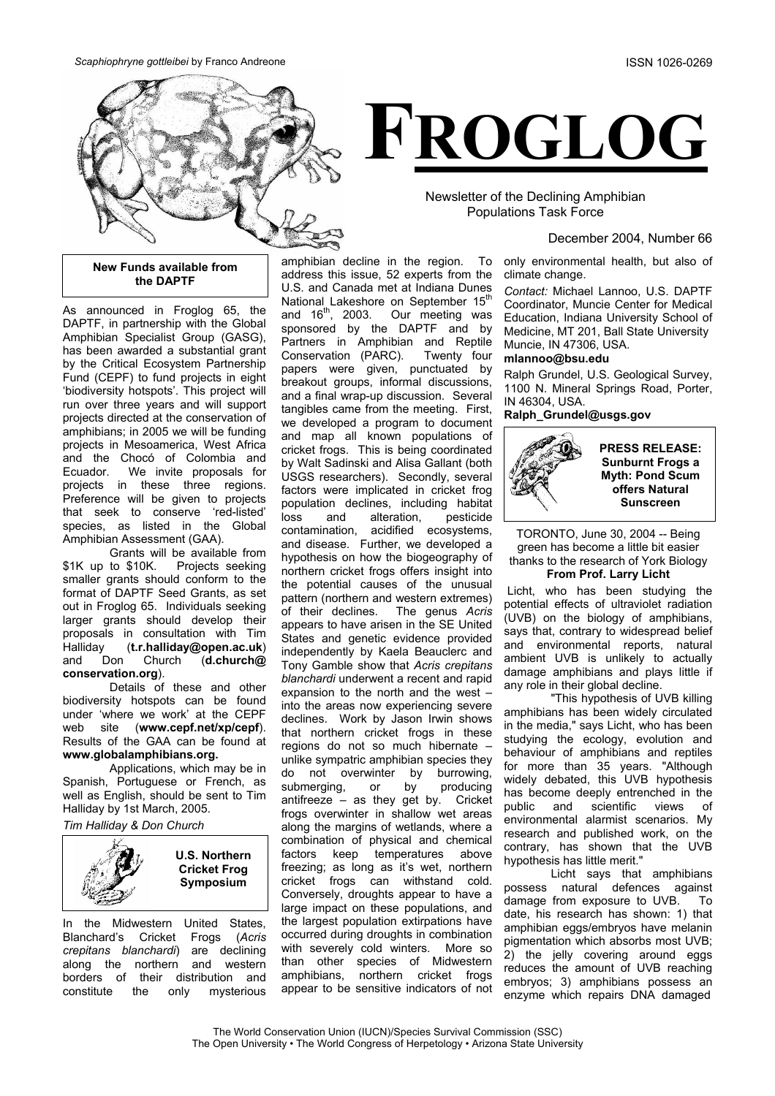



Newsletter of the Declining Amphibian Populations Task Force

## December 2004, Number 66

only environmental health, but also of climate change.

*Contact:* Michael Lannoo, U.S. DAPTF Coordinator, Muncie Center for Medical Education, Indiana University School of Medicine, MT 201, Ball State University Muncie, IN 47306, USA.

## **mlannoo@bsu.edu**

Ralph Grundel, U.S. Geological Survey, 1100 N. Mineral Springs Road, Porter, IN 46304, USA.

**Ralph\_Grundel@usgs.gov**



TORONTO, June 30, 2004 -- Being green has become a little bit easier thanks to the research of York Biology **From Prof. Larry Licht** 

Licht, who has been studying the potential effects of ultraviolet radiation (UVB) on the biology of amphibians, says that, contrary to widespread belief and environmental reports, natural ambient UVB is unlikely to actually damage amphibians and plays little if any role in their global decline.

"This hypothesis of UVB killing amphibians has been widely circulated in the media," says Licht, who has been studying the ecology, evolution and behaviour of amphibians and reptiles for more than 35 years. "Although widely debated, this UVB hypothesis has become deeply entrenched in the public and scientific views of environmental alarmist scenarios. My research and published work, on the contrary, has shown that the UVB hypothesis has little merit."

Licht says that amphibians possess natural defences against damage from exposure to UVB. To date, his research has shown: 1) that amphibian eggs/embryos have melanin pigmentation which absorbs most UVB; 2) the jelly covering around eggs reduces the amount of UVB reaching embryos; 3) amphibians possess an enzyme which repairs DNA damaged

## **New Funds available from the DAPTF**

As announced in Froglog 65, the DAPTF, in partnership with the Global Amphibian Specialist Group (GASG), has been awarded a substantial grant by the Critical Ecosystem Partnership Fund (CEPF) to fund projects in eight 'biodiversity hotspots'. This project will run over three years and will support projects directed at the conservation of amphibians; in 2005 we will be funding projects in Mesoamerica, West Africa and the Chocó of Colombia and Ecuador. We invite proposals for projects in these three regions. Preference will be given to projects that seek to conserve 'red-listed' species, as listed in the Global Amphibian Assessment (GAA).

Grants will be available from \$1K up to \$10K. Projects seeking smaller grants should conform to the format of DAPTF Seed Grants, as set out in Froglog 65. Individuals seeking larger grants should develop their proposals in consultation with Tim Halliday (**t.r.halliday@open.ac.uk**) and Don Church (**d.church@ conservation.org**).

Details of these and other biodiversity hotspots can be found under 'where we work' at the CEPF web site (**[www.cepf.net/xp/cepf](http://www.cepf.net/xp/cepf)**). Results of the GAA can be found at **www.globalamphibians.org.**

Applications, which may be in Spanish, Portuguese or French, as well as English, should be sent to Tim Halliday by 1st March, 2005.

*Tim Halliday & Don Church* 



In the Midwestern United States, Blanchard's Cricket Frogs (*Acris crepitans blanchardi*) are declining along the northern and western borders of their distribution and constitute the only mysterious

amphibian decline in the region. To address this issue, 52 experts from the U.S. and Canada met at Indiana Dunes National Lakeshore on September 15<sup>th</sup> and  $16<sup>th</sup>$ , 2003. Our meeting was sponsored by the DAPTF and by Partners in Amphibian and Reptile Conservation (PARC). Twenty four papers were given, punctuated by breakout groups, informal discussions, and a final wrap-up discussion. Several tangibles came from the meeting. First, we developed a program to document and map all known populations of cricket frogs. This is being coordinated by Walt Sadinski and Alisa Gallant (both USGS researchers). Secondly, several factors were implicated in cricket frog population declines, including habitat loss and alteration, pesticide contamination, acidified ecosystems, and disease. Further, we developed a hypothesis on how the biogeography of northern cricket frogs offers insight into the potential causes of the unusual pattern (northern and western extremes) of their declines. The genus *Acris* appears to have arisen in the SE United States and genetic evidence provided independently by Kaela Beauclerc and Tony Gamble show that *Acris crepitans blanchardi* underwent a recent and rapid expansion to the north and the west – into the areas now experiencing severe declines. Work by Jason Irwin shows that northern cricket frogs in these regions do not so much hibernate – unlike sympatric amphibian species they do not overwinter by burrowing, submerging, or by producing antifreeze – as they get by. Cricket frogs overwinter in shallow wet areas along the margins of wetlands, where a combination of physical and chemical factors keep temperatures above freezing; as long as it's wet, northern cricket frogs can withstand cold. Conversely, droughts appear to have a large impact on these populations, and the largest population extirpations have occurred during droughts in combination with severely cold winters. More so than other species of Midwestern amphibians, northern cricket frogs appear to be sensitive indicators of not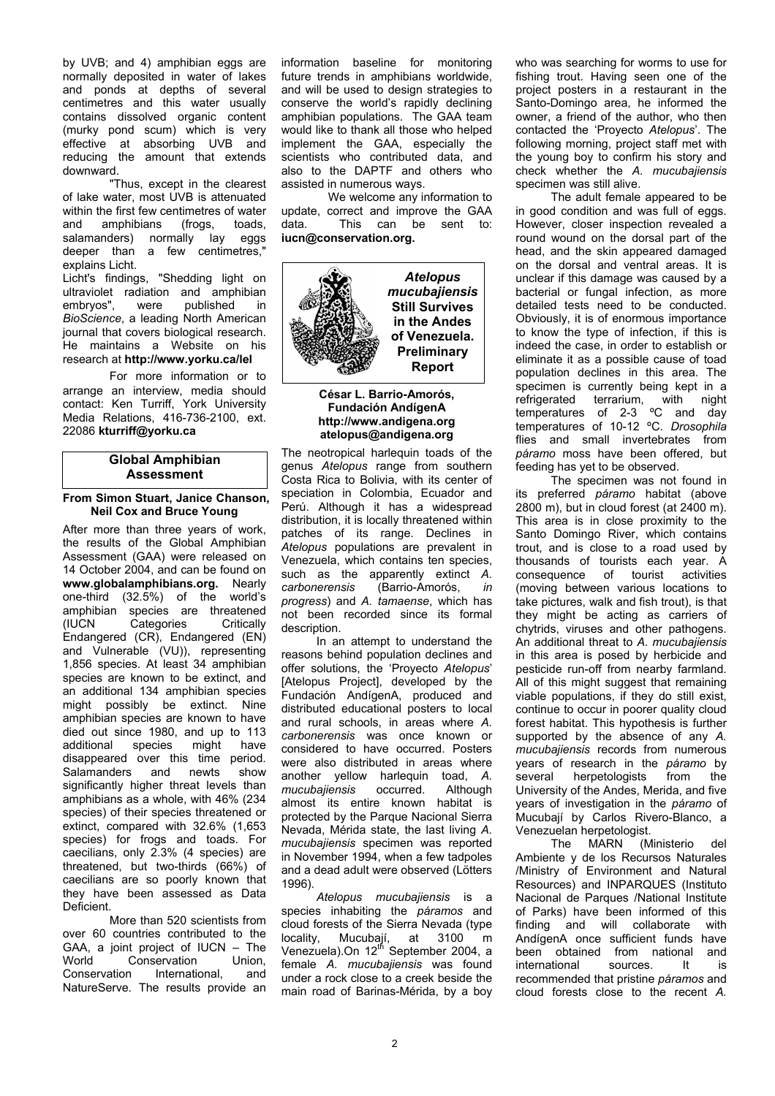by UVB; and 4) amphibian eggs are normally deposited in water of lakes and ponds at depths of several centimetres and this water usually contains dissolved organic content (murky pond scum) which is very effective at absorbing UVB and reducing the amount that extends downward.

"Thus, except in the clearest of lake water, most UVB is attenuated within the first few centimetres of water and amphibians (frogs, toads, salamanders) normally lay eggs deeper than a few centimetres," explains Licht.

Licht's findings, "Shedding light on ultraviolet radiation and amphibian<br>embryos", were published in embryos", were published in *BioScience*, a leading North American journal that covers biological research. He maintains a Website on his research at **http://[www.yorku.ca/lel](http://www.yorku.ca/lel)**

 For more information or to arrange an interview, media should contact: Ken Turriff, York University Media Relations, 416-736-2100, ext. 22086 **[kturriff@yorku.ca](mailto:kturriff@yorku.ca)**

# **Global Amphibian Assessment**

## **From Simon Stuart, Janice Chanson, Neil Cox and Bruce Young**

After more than three years of work, the results of the Global Amphibian Assessment (GAA) were released on 14 October 2004, and can be found on **www.globalamphibians.org.** Nearly one-third (32.5%) of the world's amphibian species are threatened (IUCN Categories Critically Endangered (CR), Endangered (EN) and Vulnerable (VU)), representing 1,856 species. At least 34 amphibian species are known to be extinct, and an additional 134 amphibian species might possibly be extinct. Nine amphibian species are known to have died out since 1980, and up to 113 additional species might have disappeared over this time period. Salamanders and newts show significantly higher threat levels than amphibians as a whole, with 46% (234 species) of their species threatened or extinct, compared with 32.6% (1,653 species) for frogs and toads. For caecilians, only 2.3% (4 species) are threatened, but two-thirds (66%) of caecilians are so poorly known that they have been assessed as Data **Deficient** 

More than 520 scientists from over 60 countries contributed to the GAA, a joint project of IUCN – The<br>World Conservation Union. World Conservation Union,<br>Conservation International. and International, and NatureServe. The results provide an information baseline for monitoring future trends in amphibians worldwide, and will be used to design strategies to conserve the world's rapidly declining amphibian populations. The GAA team would like to thank all those who helped implement the GAA, especially the scientists who contributed data, and also to the DAPTF and others who assisted in numerous ways.

We welcome any information to update, correct and improve the GAA data. This can be sent to: **iucn@conservation.org.** 



# **César L. Barrio-Amorós, Fundación AndígenA http://www.andigena.org atelopus@andigena.org**

The neotropical harlequin toads of the genus *Atelopus* range from southern Costa Rica to Bolivia, with its center of speciation in Colombia, Ecuador and Perú. Although it has a widespread distribution, it is locally threatened within patches of its range. Declines in *Atelopus* populations are prevalent in Venezuela, which contains ten species, such as the apparently extinct *A. carbonerensis* (Barrio-Amorós, *in progress*) and *A. tamaense*, which has not been recorded since its formal description.

In an attempt to understand the reasons behind population declines and offer solutions, the 'Proyecto *Atelopus*' [Atelopus Project], developed by the Fundación AndígenA, produced and distributed educational posters to local and rural schools, in areas where *A. carbonerensis* was once known or considered to have occurred. Posters were also distributed in areas where another yellow harlequin toad, *A. mucubajiensis* occurred. Although almost its entire known habitat is protected by the Parque Nacional Sierra Nevada, Mérida state, the last living *A. mucubajiensis* specimen was reported in November 1994, when a few tadpoles and a dead adult were observed (Lötters 1996).

*Atelopus mucubajiensis* is a species inhabiting the *páramos* and cloud forests of the Sierra Nevada (type locality, Mucubail, at 3100 m Mucubají, at 3100 m Venezuela).On 12<sup>th</sup> September 2004, a female *A. mucubajiensis* was found under a rock close to a creek beside the main road of Barinas-Mérida, by a boy who was searching for worms to use for fishing trout. Having seen one of the project posters in a restaurant in the Santo-Domingo area, he informed the owner, a friend of the author, who then contacted the 'Proyecto *Atelopus*'. The following morning, project staff met with the young boy to confirm his story and check whether the *A. mucubajiensis* specimen was still alive.

The adult female appeared to be in good condition and was full of eggs. However, closer inspection revealed a round wound on the dorsal part of the head, and the skin appeared damaged on the dorsal and ventral areas. It is unclear if this damage was caused by a bacterial or fungal infection, as more detailed tests need to be conducted. Obviously, it is of enormous importance to know the type of infection, if this is indeed the case, in order to establish or eliminate it as a possible cause of toad population declines in this area. The specimen is currently being kept in a refrigerated terrarium, with night temperatures of 2-3 ºC and day temperatures of 10-12 ºC. *Drosophila* flies and small invertebrates from *páramo* moss have been offered, but feeding has yet to be observed.

The specimen was not found in its preferred *páramo* habitat (above 2800 m), but in cloud forest (at 2400 m). This area is in close proximity to the Santo Domingo River, which contains trout, and is close to a road used by thousands of tourists each year. A consequence of tourist activities (moving between various locations to take pictures, walk and fish trout), is that they might be acting as carriers of chytrids, viruses and other pathogens. An additional threat to *A. mucubajiensis* in this area is posed by herbicide and pesticide run-off from nearby farmland. All of this might suggest that remaining viable populations, if they do still exist, continue to occur in poorer quality cloud forest habitat. This hypothesis is further supported by the absence of any *A. mucubajiensis* records from numerous years of research in the *páramo* by several herpetologists from University of the Andes, Merida, and five years of investigation in the *páramo* of Mucubají by Carlos Rivero-Blanco, a Venezuelan herpetologist.

The MARN (Ministerio Ambiente y de los Recursos Naturales /Ministry of Environment and Natural Resources) and INPARQUES (Instituto Nacional de Parques /National Institute of Parks) have been informed of this finding and will collaborate with AndígenA once sufficient funds have been obtained from national and international sources. It is recommended that pristine *páramos* and cloud forests close to the recent *A.*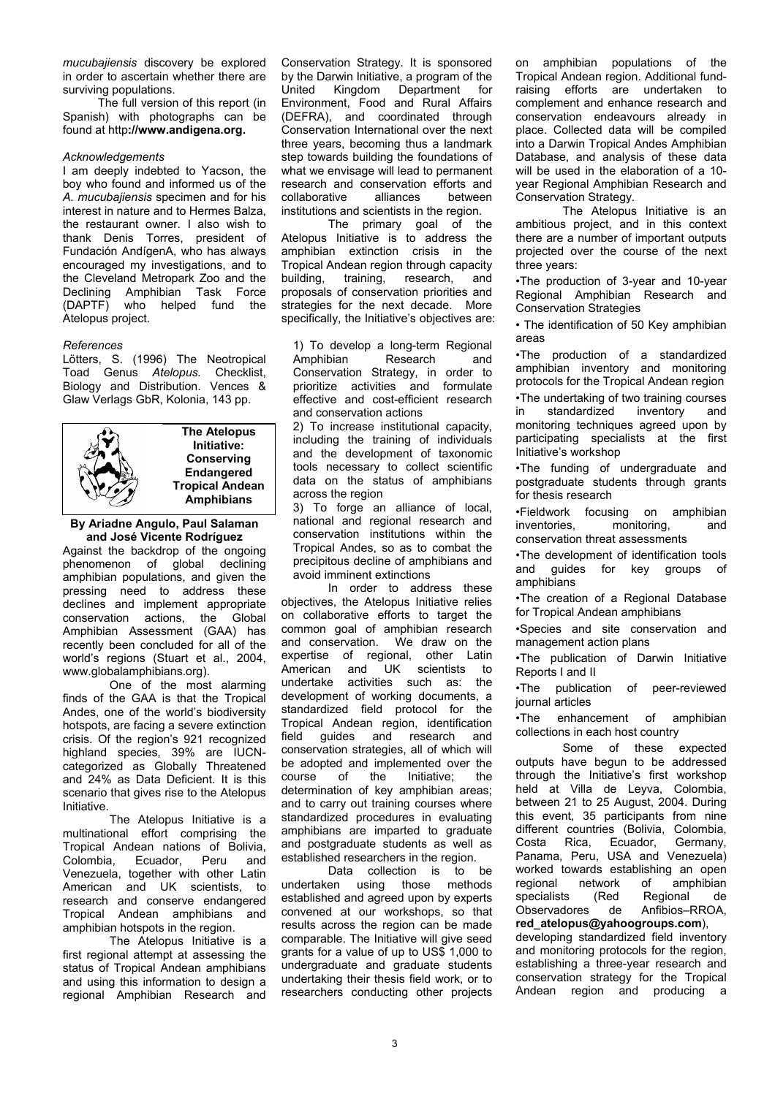*mucubajiensis* discovery be explored in order to ascertain whether there are surviving populations.

The full version of this report (in Spanish) with photographs can be found at http**://www.andigena.org.** 

## *Acknowledgements*

I am deeply indebted to Yacson, the boy who found and informed us of the *A. mucubajiensis* specimen and for his interest in nature and to Hermes Balza, the restaurant owner. I also wish to thank Denis Torres, president of Fundación AndígenA, who has always encouraged my investigations, and to the Cleveland Metropark Zoo and the Declining Amphibian Task Force (DAPTF) who helped fund the Atelopus project.

## *References*

Lötters, S. (1996) The Neotropical Toad Genus *Atelopus.* Checklist, Biology and Distribution. Vences & Glaw Verlags GbR, Kolonia, 143 pp.



**The Atelopus Initiative: Conserving Endangered Tropical Andean Amphibians**

## **By Ariadne Angulo, Paul Salaman and José Vicente Rodríguez**

Against the backdrop of the ongoing phenomenon of global declining amphibian populations, and given the pressing need to address these declines and implement appropriate conservation actions, the Global Amphibian Assessment (GAA) has recently been concluded for all of the world's regions (Stuart et al., 2004, www.globalamphibians.org).

One of the most alarming finds of the GAA is that the Tropical Andes, one of the world's biodiversity hotspots, are facing a severe extinction crisis. Of the region's 921 recognized highland species, 39% are IUCNcategorized as Globally Threatened and 24% as Data Deficient. It is this scenario that gives rise to the Atelopus Initiative.

The Atelopus Initiative is a multinational effort comprising the Tropical Andean nations of Bolivia, Colombia, Ecuador, Peru and Venezuela, together with other Latin American and UK scientists, to research and conserve endangered Tropical Andean amphibians and amphibian hotspots in the region.

The Atelopus Initiative is a first regional attempt at assessing the status of Tropical Andean amphibians and using this information to design a regional Amphibian Research and

Conservation Strategy. It is sponsored by the Darwin Initiative, a program of the United Kingdom Department for Environment, Food and Rural Affairs (DEFRA), and coordinated through Conservation International over the next three years, becoming thus a landmark step towards building the foundations of what we envisage will lead to permanent research and conservation efforts and collaborative alliances between institutions and scientists in the region.

The primary goal of the Atelopus Initiative is to address the amphibian extinction crisis in the Tropical Andean region through capacity building, training, research, and proposals of conservation priorities and strategies for the next decade. More specifically, the Initiative's objectives are:

1) To develop a long-term Regional Amphibian Research and Conservation Strategy, in order to prioritize activities and formulate effective and cost-efficient research and conservation actions

2) To increase institutional capacity, including the training of individuals and the development of taxonomic tools necessary to collect scientific data on the status of amphibians across the region

3) To forge an alliance of local, national and regional research and conservation institutions within the Tropical Andes, so as to combat the precipitous decline of amphibians and avoid imminent extinctions

In order to address these objectives, the Atelopus Initiative relies on collaborative efforts to target the common goal of amphibian research and conservation. We draw on the expertise of regional, other Latin American and UK scientists to undertake activities such as: the development of working documents, a standardized field protocol for the Tropical Andean region, identification field guides and research and conservation strategies, all of which will be adopted and implemented over the course of the Initiative; the determination of key amphibian areas; and to carry out training courses where standardized procedures in evaluating amphibians are imparted to graduate and postgraduate students as well as established researchers in the region.

Data collection is to be undertaken using those methods established and agreed upon by experts convened at our workshops, so that results across the region can be made comparable. The Initiative will give seed grants for a value of up to US\$ 1,000 to undergraduate and graduate students undertaking their thesis field work, or to researchers conducting other projects

on amphibian populations of the Tropical Andean region. Additional fundraising efforts are undertaken to complement and enhance research and conservation endeavours already in place. Collected data will be compiled into a Darwin Tropical Andes Amphibian Database, and analysis of these data will be used in the elaboration of a 10 year Regional Amphibian Research and Conservation Strategy.

The Atelopus Initiative is an ambitious project, and in this context there are a number of important outputs projected over the course of the next three years:

•The production of 3-year and 10-year Regional Amphibian Research and Conservation Strategies

• The identification of 50 Key amphibian areas

•The production of a standardized amphibian inventory and monitoring protocols for the Tropical Andean region

•The undertaking of two training courses in standardized inventory and monitoring techniques agreed upon by participating specialists at the first Initiative's workshop

•The funding of undergraduate and postgraduate students through grants for thesis research

•Fieldwork focusing on amphibian inventories, monitoring, and conservation threat assessments

•The development of identification tools and guides for key groups of amphibians

•The creation of a Regional Database for Tropical Andean amphibians

•Species and site conservation and management action plans

•The publication of Darwin Initiative Reports I and II

•The publication of peer-reviewed journal articles

•The enhancement of amphibian collections in each host country

Some of these expected outputs have begun to be addressed through the Initiative's first workshop held at Villa de Leyva, Colombia, between 21 to 25 August, 2004. During this event, 35 participants from nine different countries (Bolivia, Colombia, Costa Rica, Ecuador, Germany, Panama, Peru, USA and Venezuela) worked towards establishing an open<br>regional network of amphibian regional network of amphibian<br>specialists (Red Regional de specialists (Red Regional de Observadores de Anfibios–RROA, **red\_atelopus@yahoogroups.com**),

developing standardized field inventory and monitoring protocols for the region, establishing a three-year research and conservation strategy for the Tropical Andean region and producing a